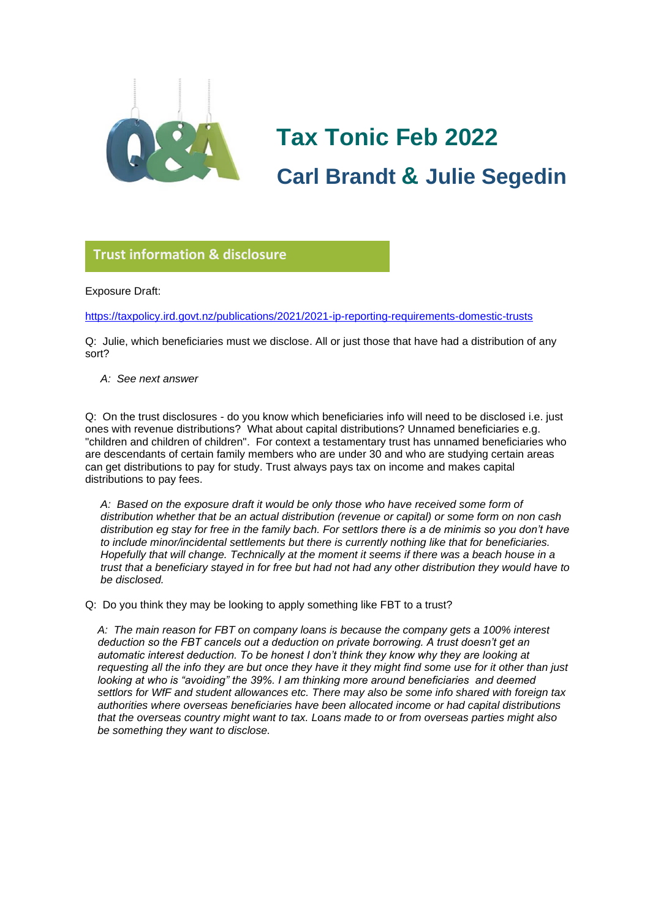

# **Tax Tonic Feb 2022 Carl Brandt & Julie Segedin**

#### **Trust information & disclosure**

Exposure Draft:

<https://taxpolicy.ird.govt.nz/publications/2021/2021-ip-reporting-requirements-domestic-trusts> **glorio**

Q: Julie, which beneficiaries must we disclose. All or just those that have had a distribution of any sort?

*A: See next answer*

Q: On the trust disclosures - do you know which beneficiaries info will need to be disclosed i.e. just ones with revenue distributions? What about capital distributions? Unnamed beneficiaries e.g. "children and children of children". For context a testamentary trust has unnamed beneficiaries who are descendants of certain family members who are under 30 and who are studying certain areas can get distributions to pay for study. Trust always pays tax on income and makes capital distributions to pay fees.

*A: Based on the exposure draft it would be only those who have received some form of distribution whether that be an actual distribution (revenue or capital) or some form on non cash distribution eg stay for free in the family bach. For settlors there is a de minimis so you don't have to include minor/incidental settlements but there is currently nothing like that for beneficiaries. Hopefully that will change. Technically at the moment it seems if there was a beach house in a trust that a beneficiary stayed in for free but had not had any other distribution they would have to be disclosed.* 

Q: Do you think they may be looking to apply something like FBT to a trust?

*A: The main reason for FBT on company loans is because the company gets a 100% interest deduction so the FBT cancels out a deduction on private borrowing. A trust doesn't get an automatic interest deduction. To be honest I don't think they know why they are looking at requesting all the info they are but once they have it they might find some use for it other than just looking at who is "avoiding" the 39%. I am thinking more around beneficiaries and deemed settlors for WfF and student allowances etc. There may also be some info shared with foreign tax authorities where overseas beneficiaries have been allocated income or had capital distributions that the overseas country might want to tax. Loans made to or from overseas parties might also be something they want to disclose.*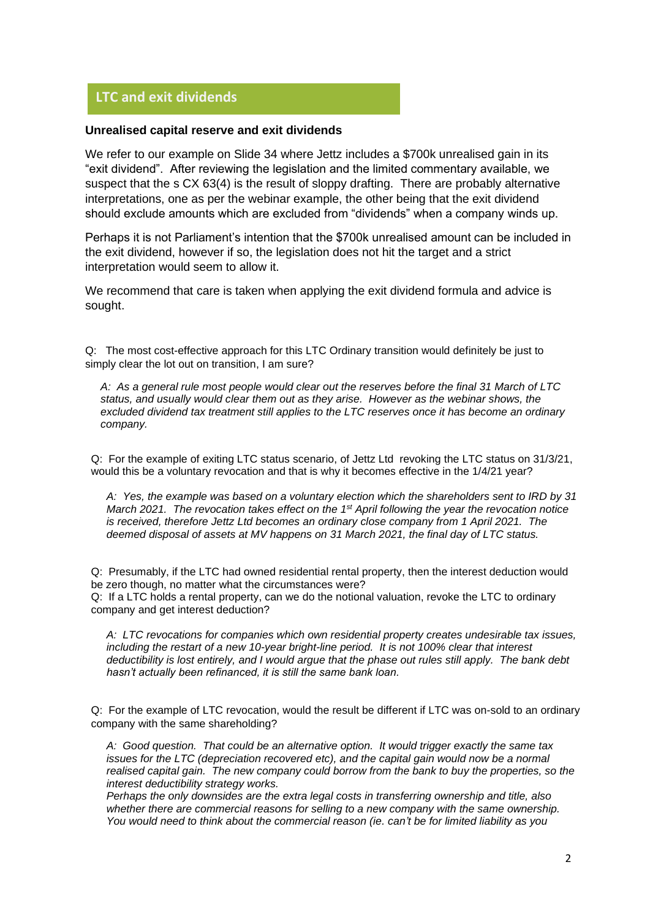## **LTC and exit dividends**

#### **Unrealised capital reserve and exit dividends**

We refer to our example on Slide 34 where Jettz includes a \$700k unrealised gain in its **Glorio**"exit dividend". After reviewing the legislation and the limited commentary available, we suspect that the s CX 63(4) is the result of sloppy drafting. There are probably alternative interpretations, one as per the webinar example, the other being that the exit dividend should exclude amounts which are excluded from "dividends" when a company winds up.

Perhaps it is not Parliament's intention that the \$700k unrealised amount can be included in the exit dividend, however if so, the legislation does not hit the target and a strict interpretation would seem to allow it.

We recommend that care is taken when applying the exit dividend formula and advice is sought.

Q: The most cost-effective approach for this LTC Ordinary transition would definitely be just to simply clear the lot out on transition, I am sure?

*A: As a general rule most people would clear out the reserves before the final 31 March of LTC status, and usually would clear them out as they arise. However as the webinar shows, the excluded dividend tax treatment still applies to the LTC reserves once it has become an ordinary company.*

Q: For the example of exiting LTC status scenario, of Jettz Ltd revoking the LTC status on 31/3/21, would this be a voluntary revocation and that is why it becomes effective in the 1/4/21 year?

*A: Yes, the example was based on a voluntary election which the shareholders sent to IRD by 31 March 2021. The revocation takes effect on the 1st April following the year the revocation notice is received, therefore Jettz Ltd becomes an ordinary close company from 1 April 2021. The deemed disposal of assets at MV happens on 31 March 2021, the final day of LTC status.*

Q: Presumably, if the LTC had owned residential rental property, then the interest deduction would be zero though, no matter what the circumstances were?

Q: If a LTC holds a rental property, can we do the notional valuation, revoke the LTC to ordinary company and get interest deduction?

*A: LTC revocations for companies which own residential property creates undesirable tax issues, including the restart of a new 10-year bright-line period. It is not 100% clear that interest deductibility is lost entirely, and I would argue that the phase out rules still apply. The bank debt hasn't actually been refinanced, it is still the same bank loan.*

Q: For the example of LTC revocation, would the result be different if LTC was on-sold to an ordinary company with the same shareholding?

*A: Good question. That could be an alternative option. It would trigger exactly the same tax issues for the LTC (depreciation recovered etc), and the capital gain would now be a normal realised capital gain. The new company could borrow from the bank to buy the properties, so the interest deductibility strategy works.*

*Perhaps the only downsides are the extra legal costs in transferring ownership and title, also whether there are commercial reasons for selling to a new company with the same ownership. You would need to think about the commercial reason (ie. can't be for limited liability as you*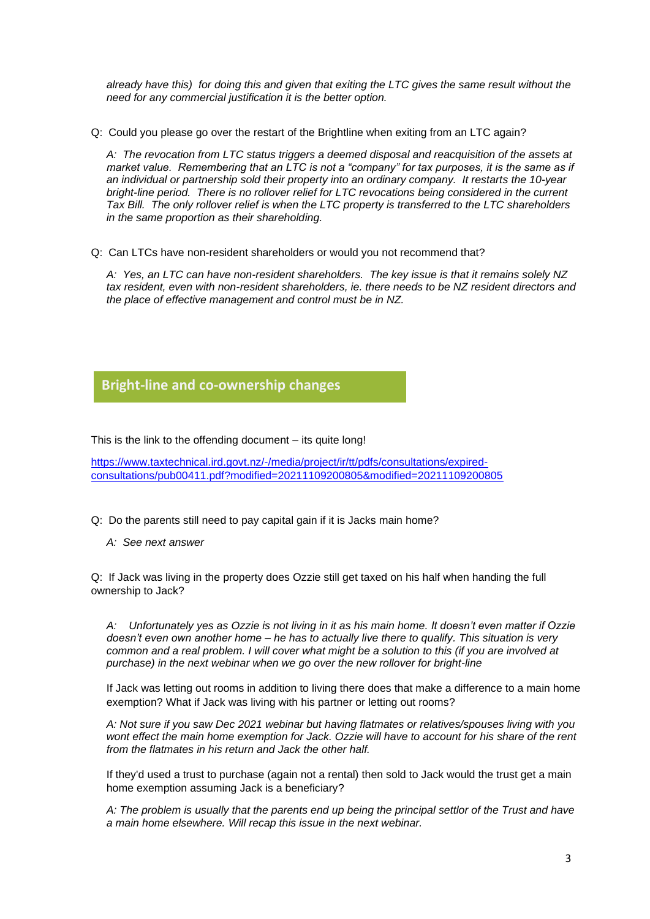*already have this) for doing this and given that exiting the LTC gives the same result without the need for any commercial justification it is the better option.*

Q: Could you please go over the restart of the Brightline when exiting from an LTC again?

*A: The revocation from LTC status triggers a deemed disposal and reacquisition of the assets at market value. Remembering that an LTC is not a "company" for tax purposes, it is the same as if an individual or partnership sold their property into an ordinary company. It restarts the 10-year bright-line period. There is no rollover relief for LTC revocations being considered in the current Tax Bill. The only rollover relief is when the LTC property is transferred to the LTC shareholders in the same proportion as their shareholding.*

Q: Can LTCs have non-resident shareholders or would you not recommend that?

*A: Yes, an LTC can have non-resident shareholders. The key issue is that it remains solely NZ tax resident, even with non-resident shareholders, ie. there needs to be NZ resident directors and the place of effective management and control must be in NZ.*

#### **Bright-line and co-ownership changes**

This is the link to the offending document – its quite long! **Glorio**

[https://www.taxtechnical.ird.govt.nz/-/media/project/ir/tt/pdfs/consultations/expired](https://www.taxtechnical.ird.govt.nz/-/media/project/ir/tt/pdfs/consultations/expired-consultations/pub00411.pdf?modified=20211109200805&modified=20211109200805)[consultations/pub00411.pdf?modified=20211109200805&modified=20211109200805](https://www.taxtechnical.ird.govt.nz/-/media/project/ir/tt/pdfs/consultations/expired-consultations/pub00411.pdf?modified=20211109200805&modified=20211109200805)

- Q: Do the parents still need to pay capital gain if it is Jacks main home?
	- *A: See next answer*

Q: If Jack was living in the property does Ozzie still get taxed on his half when handing the full ownership to Jack?

*A: Unfortunately yes as Ozzie is not living in it as his main home. It doesn't even matter if Ozzie doesn't even own another home – he has to actually live there to qualify. This situation is very common and a real problem. I will cover what might be a solution to this (if you are involved at purchase) in the next webinar when we go over the new rollover for bright-line* 

If Jack was letting out rooms in addition to living there does that make a difference to a main home exemption? What if Jack was living with his partner or letting out rooms?

*A: Not sure if you saw Dec 2021 webinar but having flatmates or relatives/spouses living with you wont effect the main home exemption for Jack. Ozzie will have to account for his share of the rent from the flatmates in his return and Jack the other half.*

If they'd used a trust to purchase (again not a rental) then sold to Jack would the trust get a main home exemption assuming Jack is a beneficiary?

*A: The problem is usually that the parents end up being the principal settlor of the Trust and have a main home elsewhere. Will recap this issue in the next webinar.*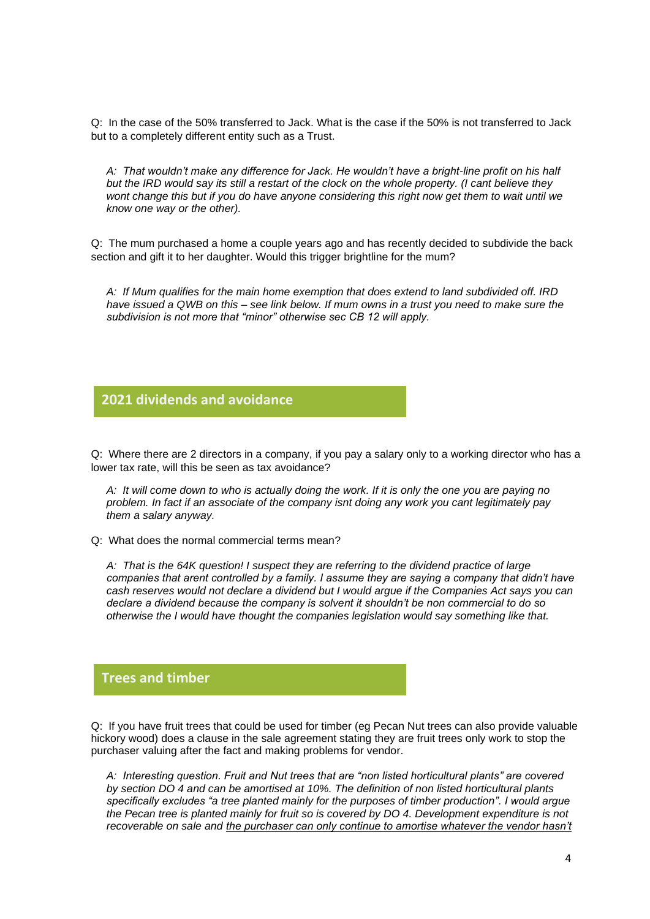Q: In the case of the 50% transferred to Jack. What is the case if the 50% is not transferred to Jack but to a completely different entity such as a Trust.

*A: That wouldn't make any difference for Jack. He wouldn't have a bright-line profit on his half but the IRD would say its still a restart of the clock on the whole property. (I cant believe they wont change this but if you do have anyone considering this right now get them to wait until we know one way or the other).* 

Q: The mum purchased a home a couple years ago and has recently decided to subdivide the back section and gift it to her daughter. Would this trigger brightline for the mum?

*A: If Mum qualifies for the main home exemption that does extend to land subdivided off. IRD have issued a QWB on this – see link below. If mum owns in a trust you need to make sure the subdivision is not more that "minor" otherwise sec CB 12 will apply.*

#### **2021 dividends and avoidance**

Q: Where there are 2 directors in a company, if you pay a salary only to a working director who has a **Glorio** lower tax rate, will this be seen as tax avoidance?

*A: It will come down to who is actually doing the work. If it is only the one you are paying no problem. In fact if an associate of the company isnt doing any work you cant legitimately pay them a salary anyway.*

Q: What does the normal commercial terms mean?

*A: That is the 64K question! I suspect they are referring to the dividend practice of large companies that arent controlled by a family. I assume they are saying a company that didn't have cash reserves would not declare a dividend but I would argue if the Companies Act says you can declare a dividend because the company is solvent it shouldn't be non commercial to do so otherwise the I would have thought the companies legislation would say something like that.*

#### **Trees and timber**

Q: If you have fruit trees that could be used for timber (eg Pecan Nut trees can also provide valuable **Glorio**hickory wood) does a clause in the sale agreement stating they are fruit trees only work to stop the purchaser valuing after the fact and making problems for vendor.

*A: Interesting question. Fruit and Nut trees that are "non listed horticultural plants" are covered by section DO 4 and can be amortised at 10%. The definition of non listed horticultural plants specifically excludes "a tree planted mainly for the purposes of timber production". I would argue the Pecan tree is planted mainly for fruit so is covered by DO 4. Development expenditure is not*  recoverable on sale and the purchaser can only continue to amortise whatever the vendor hasn't